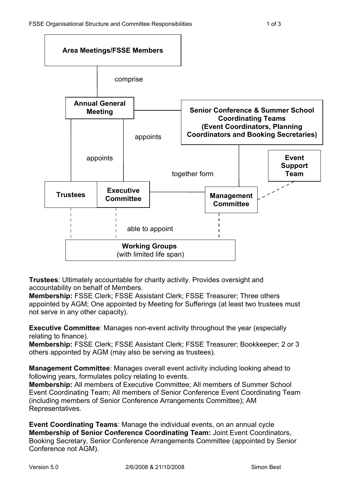

**Trustees**: Ultimately accountable for charity activity. Provides oversight and accountability on behalf of Members.

**Membership:** FSSE Clerk; FSSE Assistant Clerk; FSSE Treasurer; Three others appointed by AGM; One appointed by Meeting for Sufferings (at least two trustees must not serve in any other capacity).

**Executive Committee**: Manages non-event activity throughout the year (especially relating to finance).

**Membership:** FSSE Clerk; FSSE Assistant Clerk; FSSE Treasurer; Bookkeeper; 2 or 3 others appointed by AGM (may also be serving as trustees).

**Management Committee**: Manages overall event activity including looking ahead to following years, formulates policy relating to events.

**Membership:** All members of Executive Committee; All members of Summer School Event Coordinating Team; All members of Senior Conference Event Coordinating Team (including members of Senior Conference Arrangements Committee); AM Representatives.

**Event Coordinating Teams**: Manage the individual events, on an annual cycle **Membership of Senior Conference Coordinating Team:** Joint Event Coordinators, Booking Secretary, Senior Conference Arrangements Committee (appointed by Senior Conference not AGM).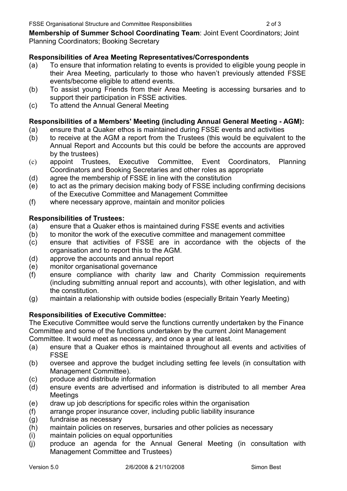**Membership of Summer School Coordinating Team**: Joint Event Coordinators; Joint Planning Coordinators; Booking Secretary

## **Responsibilities of Area Meeting Representatives/Correspondents**

- (a) To ensure that information relating to events is provided to eligible young people in their Area Meeting, particularly to those who haven't previously attended FSSE events/become eligible to attend events.
- (b) To assist young Friends from their Area Meeting is accessing bursaries and to support their participation in FSSE activities.
- (c) To attend the Annual General Meeting

### **Responsibilities of a Members' Meeting (including Annual General Meeting - AGM):**

- (a) ensure that a Quaker ethos is maintained during FSSE events and activities
- (b) to receive at the AGM a report from the Trustees (this would be equivalent to the Annual Report and Accounts but this could be before the accounts are approved by the trustees)
- (c) appoint Trustees, Executive Committee, Event Coordinators, Planning Coordinators and Booking Secretaries and other roles as appropriate
- (d) agree the membership of FSSE in line with the constitution
- (e) to act as the primary decision making body of FSSE including confirming decisions of the Executive Committee and Management Committee
- (f) where necessary approve, maintain and monitor policies

### **Responsibilities of Trustees:**

- (a) ensure that a Quaker ethos is maintained during FSSE events and activities
- (b) to monitor the work of the executive committee and management committee
- (c) ensure that activities of FSSE are in accordance with the objects of the organisation and to report this to the AGM.
- (d) approve the accounts and annual report
- (e) monitor organisational governance
- (f) ensure compliance with charity law and Charity Commission requirements (including submitting annual report and accounts), with other legislation, and with the constitution.
- (g) maintain a relationship with outside bodies (especially Britain Yearly Meeting)

# **Responsibilities of Executive Committee:**

The Executive Committee would serve the functions currently undertaken by the Finance Committee and some of the functions undertaken by the current Joint Management

Committee. It would meet as necessary, and once a year at least.

- (a) ensure that a Quaker ethos is maintained throughout all events and activities of FSSE
- (b) oversee and approve the budget including setting fee levels (in consultation with Management Committee).
- (c) produce and distribute information
- (d) ensure events are advertised and information is distributed to all member Area **Meetings**
- (e) draw up job descriptions for specific roles within the organisation
- (f) arrange proper insurance cover, including public liability insurance
- (g) fundraise as necessary
- (h) maintain policies on reserves, bursaries and other policies as necessary
- (i) maintain policies on equal opportunities
- (j) produce an agenda for the Annual General Meeting (in consultation with Management Committee and Trustees)